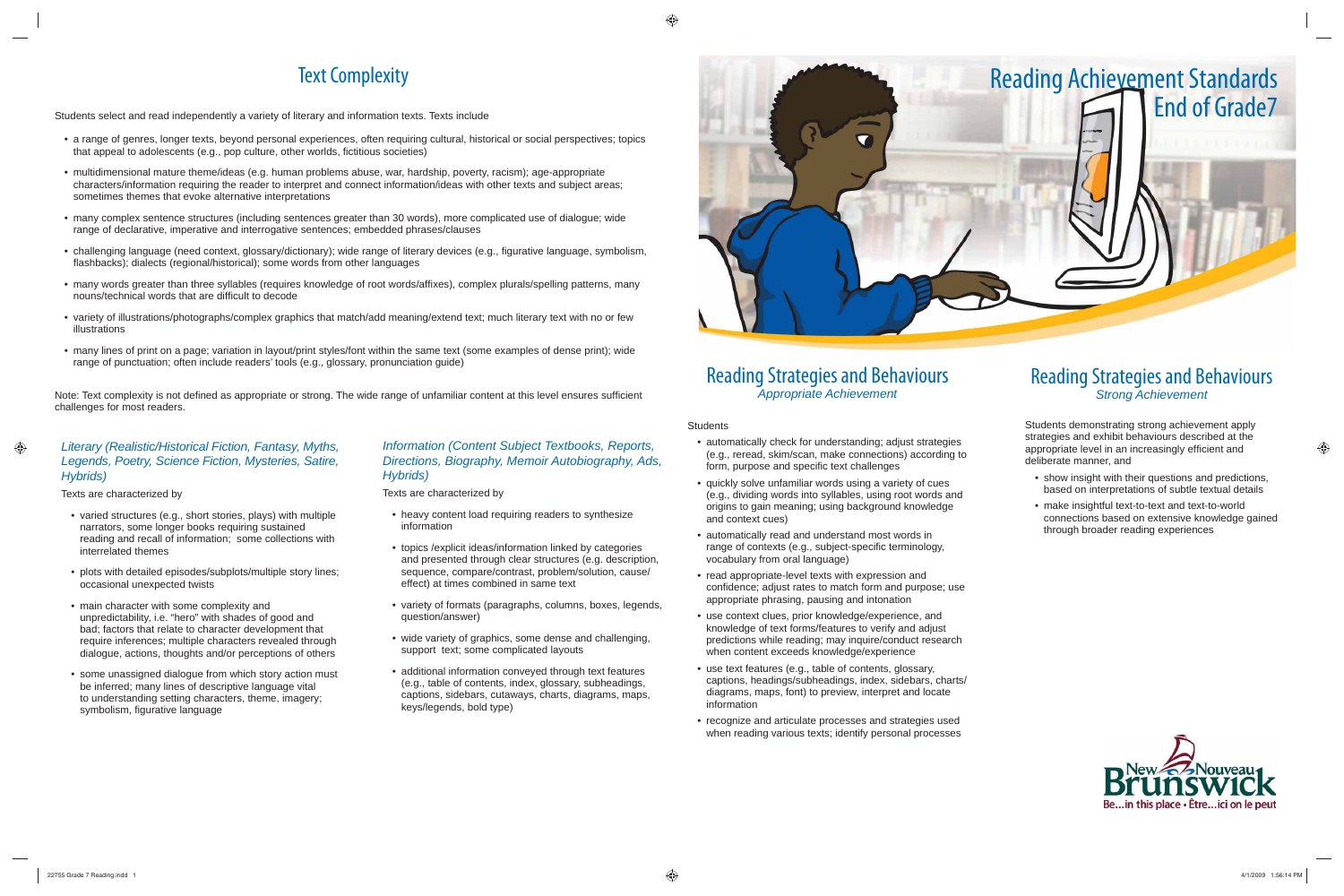### Reading Strategies and Behaviours *Appropriate Achievement*

**Students** 

- automatically check for understanding; adjust strategies (e.g., reread, skim/scan, make connections) according to form, purpose and specific text challenges
- quickly solve unfamiliar words using a variety of cues (e.g., dividing words into syllables, using root words and origins to gain meaning; using background knowledge and context cues)
- automatically read and understand most words in range of contexts (e.g., subject-specific terminology, vocabulary from oral language)
- read appropriate-level texts with expression and confidence; adjust rates to match form and purpose; use appropriate phrasing, pausing and intonation
- use context clues, prior knowledge/experience, and knowledge of text forms/features to verify and adjust predictions while reading; may inquire/conduct research when content exceeds knowledge/experience
- use text features (e.g., table of contents, glossary, captions, headings/subheadings, index, sidebars, charts/ diagrams, maps, font) to preview, interpret and locate information
- recognize and articulate processes and strategies used when reading various texts; identify personal processes

## Reading Strategies and Behaviours *Strong Achievement*

Students demonstrating strong achievement apply strategies and exhibit behaviours described at the appropriate level in an increasingly efficient and deliberate manner, and

- show insight with their questions and predictions, based on interpretations of subtle textual details
- make insightful text-to-text and text-to-world connections based on extensive knowledge gained through broader reading experiences



# Text Complexity

Note: Text complexity is not defined as appropriate or strong. The wide range of unfamiliar content at this level ensures sufficient challenges for most readers.

Students select and read independently a variety of literary and information texts. Texts include

- varied structures (e.g., short stories, plays) with multiple narrators, some longer books requiring sustained reading and recall of information; some collections with interrelated themes
- plots with detailed episodes/subplots/multiple story lines; occasional unexpected twists
- main character with some complexity and unpredictability, i.e. "hero" with shades of good and bad; factors that relate to character development that require inferences; multiple characters revealed through dialogue, actions, thoughts and/or perceptions of others
- some unassigned dialogue from which story action must be inferred; many lines of descriptive language vital to understanding setting characters, theme, imagery; symbolism, figurative language
- a range of genres, longer texts, beyond personal experiences, often requiring cultural, historical or social perspectives; topics that appeal to adolescents (e.g., pop culture, other worlds, fictitious societies)
- multidimensional mature theme/ideas (e.g. human problems abuse, war, hardship, poverty, racism); age-appropriate characters/information requiring the reader to interpret and connect information/ideas with other texts and subject areas; sometimes themes that evoke alternative interpretations
- many complex sentence structures (including sentences greater than 30 words), more complicated use of dialogue; wide range of declarative, imperative and interrogative sentences; embedded phrases/clauses
- challenging language (need context, glossary/dictionary); wide range of literary devices (e.g., figurative language, symbolism, flashbacks); dialects (regional/historical); some words from other languages
- many words greater than three syllables (requires knowledge of root words/affixes), complex plurals/spelling patterns, many nouns/technical words that are difficult to decode
- variety of illustrations/photographs/complex graphics that match/add meaning/extend text; much literary text with no or few illustrations
- many lines of print on a page; variation in layout/print styles/font within the same text (some examples of dense print); wide range of punctuation; often include readers' tools (e.g., glossary, pronunciation guide)

### *Literary (Realistic/Historical Fiction, Fantasy, Myths, Legends, Poetry, Science Fiction, Mysteries, Satire, Hybrids)*

Texts are characterized by

### *Information (Content Subject Textbooks, Reports, Directions, Biography, Memoir Autobiography, Ads, Hybrids)*

Texts are characterized by

- heavy content load requiring readers to synthesize information
- topics /explicit ideas/information linked by categories and presented through clear structures (e.g. description, sequence, compare/contrast, problem/solution, cause/ effect) at times combined in same text
- variety of formats (paragraphs, columns, boxes, legends, question/answer)
- wide variety of graphics, some dense and challenging, support text; some complicated layouts
- additional information conveyed through text features (e.g., table of contents, index, glossary, subheadings, captions, sidebars, cutaways, charts, diagrams, maps, keys/legends, bold type)